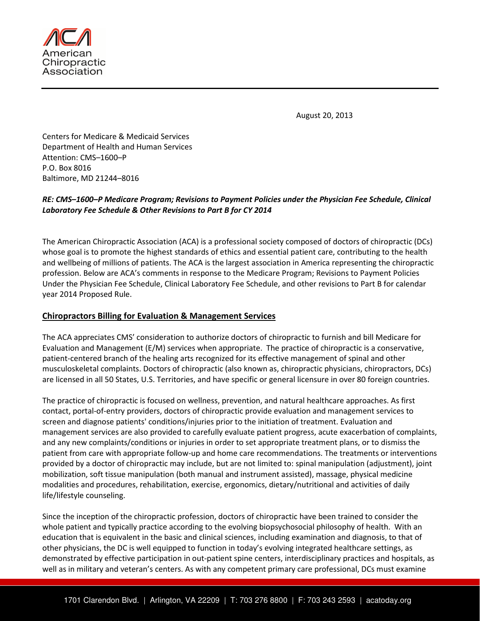

August 20, 2013

Centers for Medicare & Medicaid Services Department of Health and Human Services Attention: CMS–1600–P P.O. Box 8016 Baltimore, MD 21244–8016

## RE: CMS–1600–P Medicare Program; Revisions to Payment Policies under the Physician Fee Schedule, Clinical Laboratory Fee Schedule & Other Revisions to Part B for CY 2014

The American Chiropractic Association (ACA) is a professional society composed of doctors of chiropractic (DCs) whose goal is to promote the highest standards of ethics and essential patient care, contributing to the health and wellbeing of millions of patients. The ACA is the largest association in America representing the chiropractic profession. Below are ACA's comments in response to the Medicare Program; Revisions to Payment Policies Under the Physician Fee Schedule, Clinical Laboratory Fee Schedule, and other revisions to Part B for calendar year 2014 Proposed Rule.

### Chiropractors Billing for Evaluation & Management Services

The ACA appreciates CMS' consideration to authorize doctors of chiropractic to furnish and bill Medicare for Evaluation and Management (E/M) services when appropriate. The practice of chiropractic is a conservative, patient-centered branch of the healing arts recognized for its effective management of spinal and other musculoskeletal complaints. Doctors of chiropractic (also known as, chiropractic physicians, chiropractors, DCs) are licensed in all 50 States, U.S. Territories, and have specific or general licensure in over 80 foreign countries.

The practice of chiropractic is focused on wellness, prevention, and natural healthcare approaches. As first contact, portal-of-entry providers, doctors of chiropractic provide evaluation and management services to screen and diagnose patients' conditions/injuries prior to the initiation of treatment. Evaluation and management services are also provided to carefully evaluate patient progress, acute exacerbation of complaints, and any new complaints/conditions or injuries in order to set appropriate treatment plans, or to dismiss the patient from care with appropriate follow-up and home care recommendations. The treatments or interventions provided by a doctor of chiropractic may include, but are not limited to: spinal manipulation (adjustment), joint mobilization, soft tissue manipulation (both manual and instrument assisted), massage, physical medicine modalities and procedures, rehabilitation, exercise, ergonomics, dietary/nutritional and activities of daily life/lifestyle counseling.

Since the inception of the chiropractic profession, doctors of chiropractic have been trained to consider the whole patient and typically practice according to the evolving biopsychosocial philosophy of health. With an education that is equivalent in the basic and clinical sciences, including examination and diagnosis, to that of other physicians, the DC is well equipped to function in today's evolving integrated healthcare settings, as demonstrated by effective participation in out-patient spine centers, interdisciplinary practices and hospitals, as well as in military and veteran's centers. As with any competent primary care professional, DCs must examine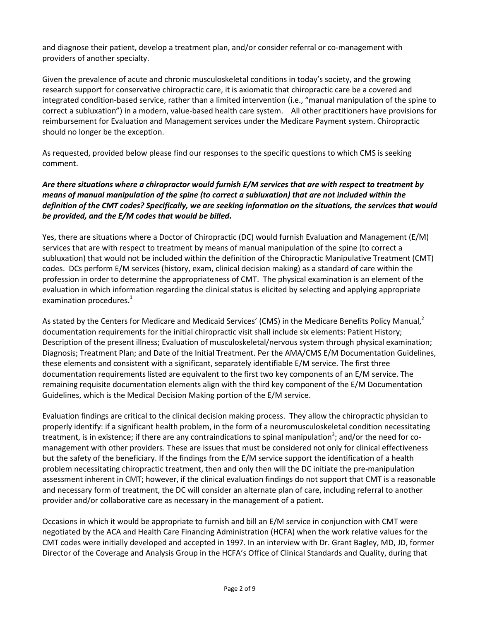and diagnose their patient, develop a treatment plan, and/or consider referral or co-management with providers of another specialty.

Given the prevalence of acute and chronic musculoskeletal conditions in today's society, and the growing research support for conservative chiropractic care, it is axiomatic that chiropractic care be a covered and integrated condition-based service, rather than a limited intervention (i.e., "manual manipulation of the spine to correct a subluxation") in a modern, value-based health care system. All other practitioners have provisions for reimbursement for Evaluation and Management services under the Medicare Payment system. Chiropractic should no longer be the exception.

As requested, provided below please find our responses to the specific questions to which CMS is seeking comment.

### Are there situations where a chiropractor would furnish E/M services that are with respect to treatment by means of manual manipulation of the spine (to correct a subluxation) that are not included within the definition of the CMT codes? Specifically, we are seeking information on the situations, the services that would be provided, and the E/M codes that would be billed.

Yes, there are situations where a Doctor of Chiropractic (DC) would furnish Evaluation and Management (E/M) services that are with respect to treatment by means of manual manipulation of the spine (to correct a subluxation) that would not be included within the definition of the Chiropractic Manipulative Treatment (CMT) codes. DCs perform E/M services (history, exam, clinical decision making) as a standard of care within the profession in order to determine the appropriateness of CMT. The physical examination is an element of the evaluation in which information regarding the clinical status is elicited by selecting and applying appropriate examination procedures. $^{1}$ 

As stated by the Centers for Medicare and Medicaid Services' (CMS) in the Medicare Benefits Policy Manual,<sup>2</sup> documentation requirements for the initial chiropractic visit shall include six elements: Patient History; Description of the present illness; Evaluation of musculoskeletal/nervous system through physical examination; Diagnosis; Treatment Plan; and Date of the Initial Treatment. Per the AMA/CMS E/M Documentation Guidelines, these elements and consistent with a significant, separately identifiable E/M service. The first three documentation requirements listed are equivalent to the first two key components of an E/M service. The remaining requisite documentation elements align with the third key component of the E/M Documentation Guidelines, which is the Medical Decision Making portion of the E/M service.

Evaluation findings are critical to the clinical decision making process. They allow the chiropractic physician to properly identify: if a significant health problem, in the form of a neuromusculoskeletal condition necessitating treatment, is in existence; if there are any contraindications to spinal manipulation<sup>3</sup>; and/or the need for comanagement with other providers. These are issues that must be considered not only for clinical effectiveness but the safety of the beneficiary. If the findings from the E/M service support the identification of a health problem necessitating chiropractic treatment, then and only then will the DC initiate the pre-manipulation assessment inherent in CMT; however, if the clinical evaluation findings do not support that CMT is a reasonable and necessary form of treatment, the DC will consider an alternate plan of care, including referral to another provider and/or collaborative care as necessary in the management of a patient.

Occasions in which it would be appropriate to furnish and bill an E/M service in conjunction with CMT were negotiated by the ACA and Health Care Financing Administration (HCFA) when the work relative values for the CMT codes were initially developed and accepted in 1997. In an interview with Dr. Grant Bagley, MD, JD, former Director of the Coverage and Analysis Group in the HCFA's Office of Clinical Standards and Quality, during that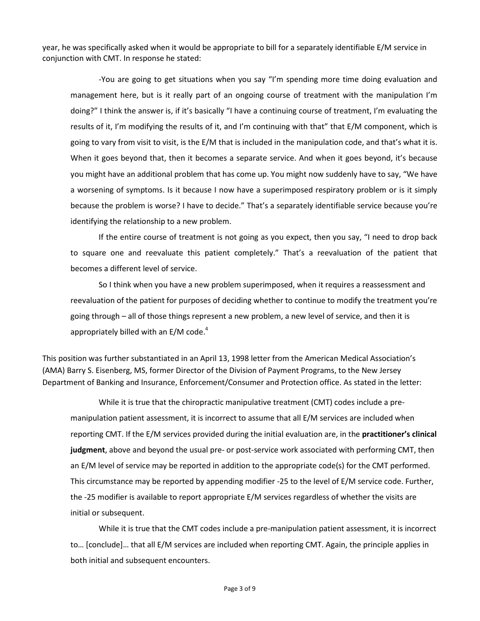year, he was specifically asked when it would be appropriate to bill for a separately identifiable E/M service in conjunction with CMT. In response he stated:

-You are going to get situations when you say "I'm spending more time doing evaluation and management here, but is it really part of an ongoing course of treatment with the manipulation I'm doing?" I think the answer is, if it's basically "I have a continuing course of treatment, I'm evaluating the results of it, I'm modifying the results of it, and I'm continuing with that" that E/M component, which is going to vary from visit to visit, is the E/M that is included in the manipulation code, and that's what it is. When it goes beyond that, then it becomes a separate service. And when it goes beyond, it's because you might have an additional problem that has come up. You might now suddenly have to say, "We have a worsening of symptoms. Is it because I now have a superimposed respiratory problem or is it simply because the problem is worse? I have to decide." That's a separately identifiable service because you're identifying the relationship to a new problem.

If the entire course of treatment is not going as you expect, then you say, "I need to drop back to square one and reevaluate this patient completely." That's a reevaluation of the patient that becomes a different level of service.

So I think when you have a new problem superimposed, when it requires a reassessment and reevaluation of the patient for purposes of deciding whether to continue to modify the treatment you're going through – all of those things represent a new problem, a new level of service, and then it is appropriately billed with an  $E/M$  code.<sup>4</sup>

This position was further substantiated in an April 13, 1998 letter from the American Medical Association's (AMA) Barry S. Eisenberg, MS, former Director of the Division of Payment Programs, to the New Jersey Department of Banking and Insurance, Enforcement/Consumer and Protection office. As stated in the letter:

While it is true that the chiropractic manipulative treatment (CMT) codes include a premanipulation patient assessment, it is incorrect to assume that all E/M services are included when reporting CMT. If the E/M services provided during the initial evaluation are, in the practitioner's clinical judgment, above and beyond the usual pre- or post-service work associated with performing CMT, then an E/M level of service may be reported in addition to the appropriate code(s) for the CMT performed. This circumstance may be reported by appending modifier -25 to the level of E/M service code. Further, the -25 modifier is available to report appropriate E/M services regardless of whether the visits are initial or subsequent.

While it is true that the CMT codes include a pre-manipulation patient assessment, it is incorrect to… [conclude]… that all E/M services are included when reporting CMT. Again, the principle applies in both initial and subsequent encounters.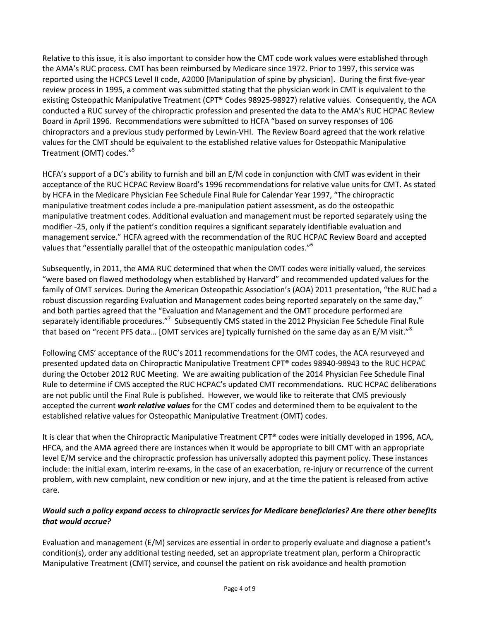Relative to this issue, it is also important to consider how the CMT code work values were established through the AMA's RUC process. CMT has been reimbursed by Medicare since 1972. Prior to 1997, this service was reported using the HCPCS Level II code, A2000 [Manipulation of spine by physician]. During the first five-year review process in 1995, a comment was submitted stating that the physician work in CMT is equivalent to the existing Osteopathic Manipulative Treatment (CPT® Codes 98925-98927) relative values. Consequently, the ACA conducted a RUC survey of the chiropractic profession and presented the data to the AMA's RUC HCPAC Review Board in April 1996. Recommendations were submitted to HCFA "based on survey responses of 106 chiropractors and a previous study performed by Lewin-VHI. The Review Board agreed that the work relative values for the CMT should be equivalent to the established relative values for Osteopathic Manipulative Treatment (OMT) codes."<sup>5</sup>

HCFA's support of a DC's ability to furnish and bill an E/M code in conjunction with CMT was evident in their acceptance of the RUC HCPAC Review Board's 1996 recommendations for relative value units for CMT. As stated by HCFA in the Medicare Physician Fee Schedule Final Rule for Calendar Year 1997, "The chiropractic manipulative treatment codes include a pre-manipulation patient assessment, as do the osteopathic manipulative treatment codes. Additional evaluation and management must be reported separately using the modifier -25, only if the patient's condition requires a significant separately identifiable evaluation and management service." HCFA agreed with the recommendation of the RUC HCPAC Review Board and accepted values that "essentially parallel that of the osteopathic manipulation codes." $^6$ 

Subsequently, in 2011, the AMA RUC determined that when the OMT codes were initially valued, the services "were based on flawed methodology when established by Harvard" and recommended updated values for the family of OMT services. During the American Osteopathic Association's (AOA) 2011 presentation, "the RUC had a robust discussion regarding Evaluation and Management codes being reported separately on the same day," and both parties agreed that the "Evaluation and Management and the OMT procedure performed are separately identifiable procedures."<sup>7</sup> Subsequently CMS stated in the 2012 Physician Fee Schedule Final Rule that based on "recent PFS data... [OMT services are] typically furnished on the same day as an E/M visit."<sup>8</sup>

Following CMS' acceptance of the RUC's 2011 recommendations for the OMT codes, the ACA resurveyed and presented updated data on Chiropractic Manipulative Treatment CPT® codes 98940-98943 to the RUC HCPAC during the October 2012 RUC Meeting. We are awaiting publication of the 2014 Physician Fee Schedule Final Rule to determine if CMS accepted the RUC HCPAC's updated CMT recommendations. RUC HCPAC deliberations are not public until the Final Rule is published. However, we would like to reiterate that CMS previously accepted the current work relative values for the CMT codes and determined them to be equivalent to the established relative values for Osteopathic Manipulative Treatment (OMT) codes.

It is clear that when the Chiropractic Manipulative Treatment CPT® codes were initially developed in 1996, ACA, HFCA, and the AMA agreed there are instances when it would be appropriate to bill CMT with an appropriate level E/M service and the chiropractic profession has universally adopted this payment policy. These instances include: the initial exam, interim re-exams, in the case of an exacerbation, re-injury or recurrence of the current problem, with new complaint, new condition or new injury, and at the time the patient is released from active care.

# Would such a policy expand access to chiropractic services for Medicare beneficiaries? Are there other benefits that would accrue?

Evaluation and management (E/M) services are essential in order to properly evaluate and diagnose a patient's condition(s), order any additional testing needed, set an appropriate treatment plan, perform a Chiropractic Manipulative Treatment (CMT) service, and counsel the patient on risk avoidance and health promotion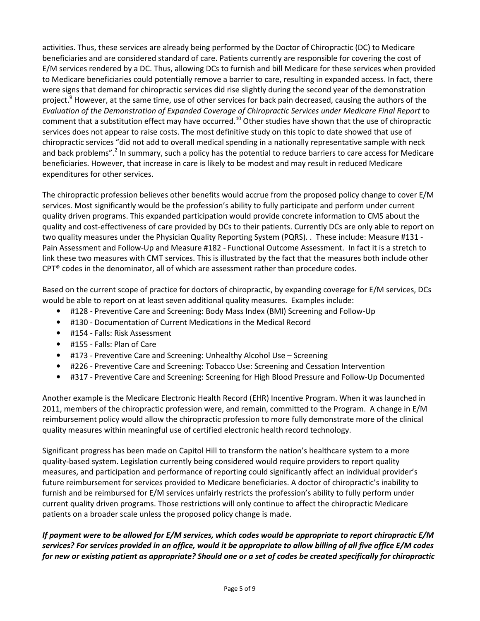activities. Thus, these services are already being performed by the Doctor of Chiropractic (DC) to Medicare beneficiaries and are considered standard of care. Patients currently are responsible for covering the cost of E/M services rendered by a DC. Thus, allowing DCs to furnish and bill Medicare for these services when provided to Medicare beneficiaries could potentially remove a barrier to care, resulting in expanded access. In fact, there were signs that demand for chiropractic services did rise slightly during the second year of the demonstration project.<sup>9</sup> However, at the same time, use of other services for back pain decreased, causing the authors of the Evaluation of the Demonstration of Expanded Coverage of Chiropractic Services under Medicare Final Report to comment that a substitution effect may have occurred.<sup>10</sup> Other studies have shown that the use of chiropractic services does not appear to raise costs. The most definitive study on this topic to date showed that use of chiropractic services "did not add to overall medical spending in a nationally representative sample with neck and back problems".<sup>2</sup> In summary, such a policy has the potential to reduce barriers to care access for Medicare beneficiaries. However, that increase in care is likely to be modest and may result in reduced Medicare expenditures for other services.

The chiropractic profession believes other benefits would accrue from the proposed policy change to cover E/M services. Most significantly would be the profession's ability to fully participate and perform under current quality driven programs. This expanded participation would provide concrete information to CMS about the quality and cost-effectiveness of care provided by DCs to their patients. Currently DCs are only able to report on two quality measures under the Physician Quality Reporting System (PQRS). . These include: Measure #131 - Pain Assessment and Follow-Up and Measure #182 - Functional Outcome Assessment. In fact it is a stretch to link these two measures with CMT services. This is illustrated by the fact that the measures both include other CPT® codes in the denominator, all of which are assessment rather than procedure codes.

Based on the current scope of practice for doctors of chiropractic, by expanding coverage for E/M services, DCs would be able to report on at least seven additional quality measures. Examples include:

- #128 Preventive Care and Screening: Body Mass Index (BMI) Screening and Follow-Up
- #130 Documentation of Current Medications in the Medical Record
- #154 Falls: Risk Assessment
- #155 Falls: Plan of Care
- #173 Preventive Care and Screening: Unhealthy Alcohol Use Screening
- #226 Preventive Care and Screening: Tobacco Use: Screening and Cessation Intervention
- #317 Preventive Care and Screening: Screening for High Blood Pressure and Follow-Up Documented

Another example is the Medicare Electronic Health Record (EHR) Incentive Program. When it was launched in 2011, members of the chiropractic profession were, and remain, committed to the Program. A change in E/M reimbursement policy would allow the chiropractic profession to more fully demonstrate more of the clinical quality measures within meaningful use of certified electronic health record technology.

Significant progress has been made on Capitol Hill to transform the nation's healthcare system to a more quality-based system. Legislation currently being considered would require providers to report quality measures, and participation and performance of reporting could significantly affect an individual provider's future reimbursement for services provided to Medicare beneficiaries. A doctor of chiropractic's inability to furnish and be reimbursed for E/M services unfairly restricts the profession's ability to fully perform under current quality driven programs. Those restrictions will only continue to affect the chiropractic Medicare patients on a broader scale unless the proposed policy change is made.

If payment were to be allowed for E/M services, which codes would be appropriate to report chiropractic E/M services? For services provided in an office, would it be appropriate to allow billing of all five office E/M codes for new or existing patient as appropriate? Should one or a set of codes be created specifically for chiropractic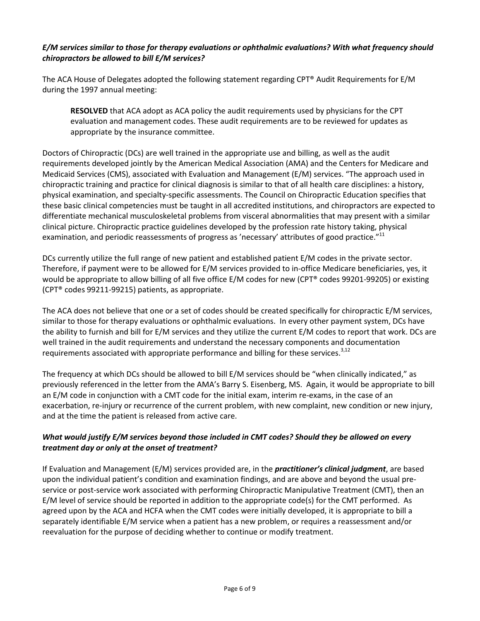#### E/M services similar to those for therapy evaluations or ophthalmic evaluations? With what frequency should chiropractors be allowed to bill E/M services?

The ACA House of Delegates adopted the following statement regarding CPT® Audit Requirements for E/M during the 1997 annual meeting:

RESOLVED that ACA adopt as ACA policy the audit requirements used by physicians for the CPT evaluation and management codes. These audit requirements are to be reviewed for updates as appropriate by the insurance committee.

Doctors of Chiropractic (DCs) are well trained in the appropriate use and billing, as well as the audit requirements developed jointly by the American Medical Association (AMA) and the Centers for Medicare and Medicaid Services (CMS), associated with Evaluation and Management (E/M) services. "The approach used in chiropractic training and practice for clinical diagnosis is similar to that of all health care disciplines: a history, physical examination, and specialty-specific assessments. The Council on Chiropractic Education specifies that these basic clinical competencies must be taught in all accredited institutions, and chiropractors are expected to differentiate mechanical musculoskeletal problems from visceral abnormalities that may present with a similar clinical picture. Chiropractic practice guidelines developed by the profession rate history taking, physical examination, and periodic reassessments of progress as 'necessary' attributes of good practice." $^{11}$ 

DCs currently utilize the full range of new patient and established patient E/M codes in the private sector. Therefore, if payment were to be allowed for E/M services provided to in-office Medicare beneficiaries, yes, it would be appropriate to allow billing of all five office E/M codes for new (CPT® codes 99201-99205) or existing (CPT® codes 99211-99215) patients, as appropriate.

The ACA does not believe that one or a set of codes should be created specifically for chiropractic E/M services, similar to those for therapy evaluations or ophthalmic evaluations. In every other payment system, DCs have the ability to furnish and bill for E/M services and they utilize the current E/M codes to report that work. DCs are well trained in the audit requirements and understand the necessary components and documentation requirements associated with appropriate performance and billing for these services. $3,12$ 

The frequency at which DCs should be allowed to bill E/M services should be "when clinically indicated," as previously referenced in the letter from the AMA's Barry S. Eisenberg, MS. Again, it would be appropriate to bill an E/M code in conjunction with a CMT code for the initial exam, interim re-exams, in the case of an exacerbation, re-injury or recurrence of the current problem, with new complaint, new condition or new injury, and at the time the patient is released from active care.

### What would justify E/M services beyond those included in CMT codes? Should they be allowed on every treatment day or only at the onset of treatment?

If Evaluation and Management  $(E/M)$  services provided are, in the **practitioner's clinical judgment**, are based upon the individual patient's condition and examination findings, and are above and beyond the usual preservice or post-service work associated with performing Chiropractic Manipulative Treatment (CMT), then an E/M level of service should be reported in addition to the appropriate code(s) for the CMT performed. As agreed upon by the ACA and HCFA when the CMT codes were initially developed, it is appropriate to bill a separately identifiable E/M service when a patient has a new problem, or requires a reassessment and/or reevaluation for the purpose of deciding whether to continue or modify treatment.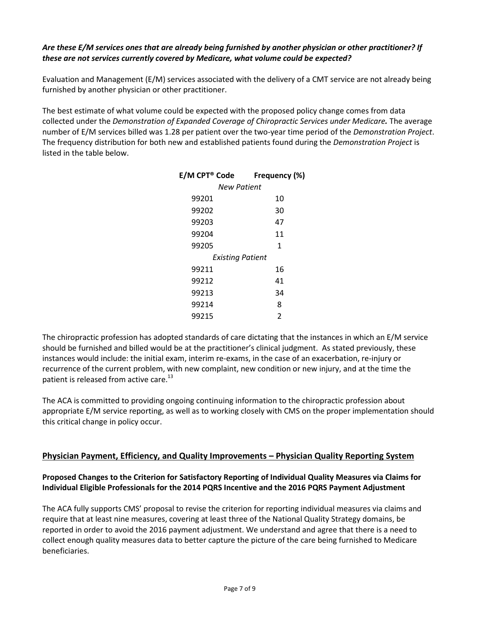## Are these E/M services ones that are already being furnished by another physician or other practitioner? If these are not services currently covered by Medicare, what volume could be expected?

Evaluation and Management (E/M) services associated with the delivery of a CMT service are not already being furnished by another physician or other practitioner.

The best estimate of what volume could be expected with the proposed policy change comes from data collected under the Demonstration of Expanded Coverage of Chiropractic Services under Medicare. The average number of E/M services billed was 1.28 per patient over the two-year time period of the Demonstration Project. The frequency distribution for both new and established patients found during the Demonstration Project is listed in the table below.

| E/M CPT® Code    | Frequency (%) |
|------------------|---------------|
| New Patient      |               |
| 99201            | 10            |
| 99202            | 30            |
| 99203            | 47            |
| 99204            | 11            |
| 99205            | 1             |
| Existing Patient |               |
| 99211            | 16            |
| 99212            | 41            |
| 99213            | 34            |
| 99214            | 8             |
| 99215            | 2             |
|                  |               |

The chiropractic profession has adopted standards of care dictating that the instances in which an E/M service should be furnished and billed would be at the practitioner's clinical judgment. As stated previously, these instances would include: the initial exam, interim re-exams, in the case of an exacerbation, re-injury or recurrence of the current problem, with new complaint, new condition or new injury, and at the time the patient is released from active care.<sup>13</sup>

The ACA is committed to providing ongoing continuing information to the chiropractic profession about appropriate E/M service reporting, as well as to working closely with CMS on the proper implementation should this critical change in policy occur.

### Physician Payment, Efficiency, and Quality Improvements – Physician Quality Reporting System

### Proposed Changes to the Criterion for Satisfactory Reporting of Individual Quality Measures via Claims for Individual Eligible Professionals for the 2014 PQRS Incentive and the 2016 PQRS Payment Adjustment

The ACA fully supports CMS' proposal to revise the criterion for reporting individual measures via claims and require that at least nine measures, covering at least three of the National Quality Strategy domains, be reported in order to avoid the 2016 payment adjustment. We understand and agree that there is a need to collect enough quality measures data to better capture the picture of the care being furnished to Medicare beneficiaries.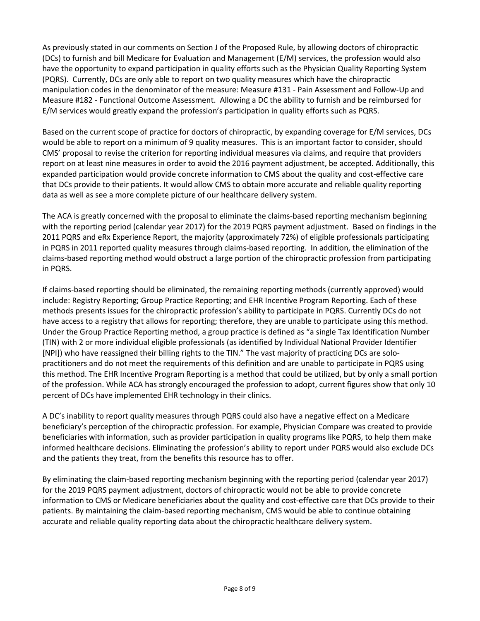As previously stated in our comments on Section J of the Proposed Rule, by allowing doctors of chiropractic (DCs) to furnish and bill Medicare for Evaluation and Management (E/M) services, the profession would also have the opportunity to expand participation in quality efforts such as the Physician Quality Reporting System (PQRS). Currently, DCs are only able to report on two quality measures which have the chiropractic manipulation codes in the denominator of the measure: Measure #131 - Pain Assessment and Follow-Up and Measure #182 - Functional Outcome Assessment. Allowing a DC the ability to furnish and be reimbursed for E/M services would greatly expand the profession's participation in quality efforts such as PQRS.

Based on the current scope of practice for doctors of chiropractic, by expanding coverage for E/M services, DCs would be able to report on a minimum of 9 quality measures. This is an important factor to consider, should CMS' proposal to revise the criterion for reporting individual measures via claims, and require that providers report on at least nine measures in order to avoid the 2016 payment adjustment, be accepted. Additionally, this expanded participation would provide concrete information to CMS about the quality and cost-effective care that DCs provide to their patients. It would allow CMS to obtain more accurate and reliable quality reporting data as well as see a more complete picture of our healthcare delivery system.

The ACA is greatly concerned with the proposal to eliminate the claims-based reporting mechanism beginning with the reporting period (calendar year 2017) for the 2019 PQRS payment adjustment. Based on findings in the 2011 PQRS and eRx Experience Report, the majority (approximately 72%) of eligible professionals participating in PQRS in 2011 reported quality measures through claims-based reporting. In addition, the elimination of the claims-based reporting method would obstruct a large portion of the chiropractic profession from participating in PQRS.

If claims-based reporting should be eliminated, the remaining reporting methods (currently approved) would include: Registry Reporting; Group Practice Reporting; and EHR Incentive Program Reporting. Each of these methods presents issues for the chiropractic profession's ability to participate in PQRS. Currently DCs do not have access to a registry that allows for reporting; therefore, they are unable to participate using this method. Under the Group Practice Reporting method, a group practice is defined as "a single Tax Identification Number (TIN) with 2 or more individual eligible professionals (as identified by Individual National Provider Identifier [NPI]) who have reassigned their billing rights to the TIN." The vast majority of practicing DCs are solopractitioners and do not meet the requirements of this definition and are unable to participate in PQRS using this method. The EHR Incentive Program Reporting is a method that could be utilized, but by only a small portion of the profession. While ACA has strongly encouraged the profession to adopt, current figures show that only 10 percent of DCs have implemented EHR technology in their clinics.

A DC's inability to report quality measures through PQRS could also have a negative effect on a Medicare beneficiary's perception of the chiropractic profession. For example, Physician Compare was created to provide beneficiaries with information, such as provider participation in quality programs like PQRS, to help them make informed healthcare decisions. Eliminating the profession's ability to report under PQRS would also exclude DCs and the patients they treat, from the benefits this resource has to offer.

By eliminating the claim-based reporting mechanism beginning with the reporting period (calendar year 2017) for the 2019 PQRS payment adjustment, doctors of chiropractic would not be able to provide concrete information to CMS or Medicare beneficiaries about the quality and cost-effective care that DCs provide to their patients. By maintaining the claim-based reporting mechanism, CMS would be able to continue obtaining accurate and reliable quality reporting data about the chiropractic healthcare delivery system.